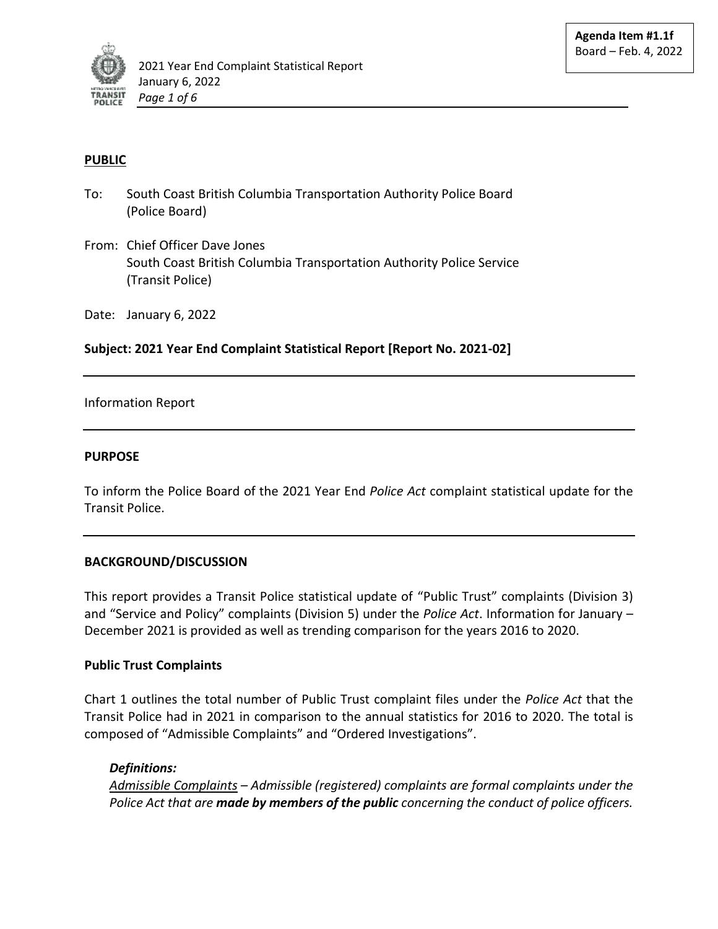

# **PUBLIC**

- To: South Coast British Columbia Transportation Authority Police Board (Police Board)
- From: Chief Officer Dave Jones South Coast British Columbia Transportation Authority Police Service (Transit Police)

Date: January 6, 2022

**Subject: 2021 Year End Complaint Statistical Report [Report No. 2021-02]**

## Information Report

#### **PURPOSE**

To inform the Police Board of the 2021 Year End *Police Act* complaint statistical update for the Transit Police.

## **BACKGROUND/DISCUSSION**

This report provides a Transit Police statistical update of "Public Trust" complaints (Division 3) and "Service and Policy" complaints (Division 5) under the *Police Act*. Information for January – December 2021 is provided as well as trending comparison for the years 2016 to 2020.

## **Public Trust Complaints**

Chart 1 outlines the total number of Public Trust complaint files under the *Police Act* that the Transit Police had in 2021 in comparison to the annual statistics for 2016 to 2020. The total is composed of "Admissible Complaints" and "Ordered Investigations".

## *Definitions:*

*Admissible Complaints – Admissible (registered) complaints are formal complaints under the Police Act that are made by members of the public concerning the conduct of police officers.*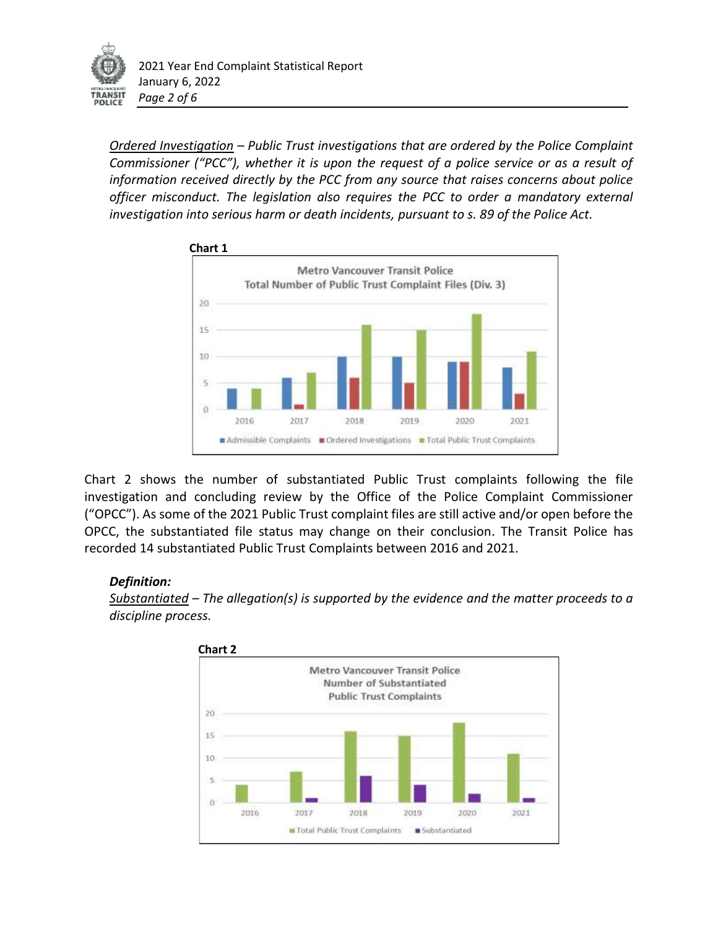

*Ordered Investigation – Public Trust investigations that are ordered by the Police Complaint Commissioner ("PCC"), whether it is upon the request of a police service or as a result of information received directly by the PCC from any source that raises concerns about police officer misconduct. The legislation also requires the PCC to order a mandatory external investigation into serious harm or death incidents, pursuant to s. 89 of the Police Act.* 



Chart 2 shows the number of substantiated Public Trust complaints following the file investigation and concluding review by the Office of the Police Complaint Commissioner ("OPCC"). As some of the 2021 Public Trust complaint files are still active and/or open before the OPCC, the substantiated file status may change on their conclusion. The Transit Police has recorded 14 substantiated Public Trust Complaints between 2016 and 2021.

# *Definition:*

*Substantiated – The allegation(s) is supported by the evidence and the matter proceeds to a discipline process.* 

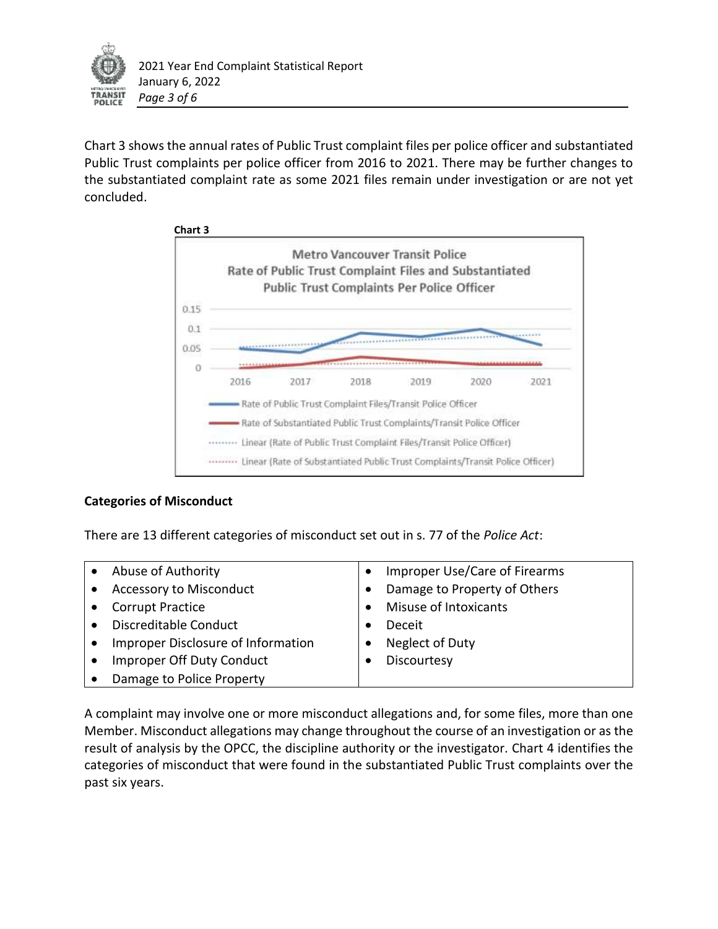

Chart 3 shows the annual rates of Public Trust complaint files per police officer and substantiated Public Trust complaints per police officer from 2016 to 2021. There may be further changes to the substantiated complaint rate as some 2021 files remain under investigation or are not yet concluded.



# **Categories of Misconduct**

There are 13 different categories of misconduct set out in s. 77 of the *Police Act*:

|           | Abuse of Authority                 | Improper Use/Care of Firearms |
|-----------|------------------------------------|-------------------------------|
|           | Accessory to Misconduct            | Damage to Property of Others  |
|           | <b>Corrupt Practice</b>            | Misuse of Intoxicants         |
|           | Discreditable Conduct              | Deceit                        |
| $\bullet$ | Improper Disclosure of Information | Neglect of Duty               |
|           | Improper Off Duty Conduct          | Discourtesy                   |
|           | Damage to Police Property          |                               |
|           |                                    |                               |

A complaint may involve one or more misconduct allegations and, for some files, more than one Member. Misconduct allegations may change throughout the course of an investigation or as the result of analysis by the OPCC, the discipline authority or the investigator. Chart 4 identifies the categories of misconduct that were found in the substantiated Public Trust complaints over the past six years.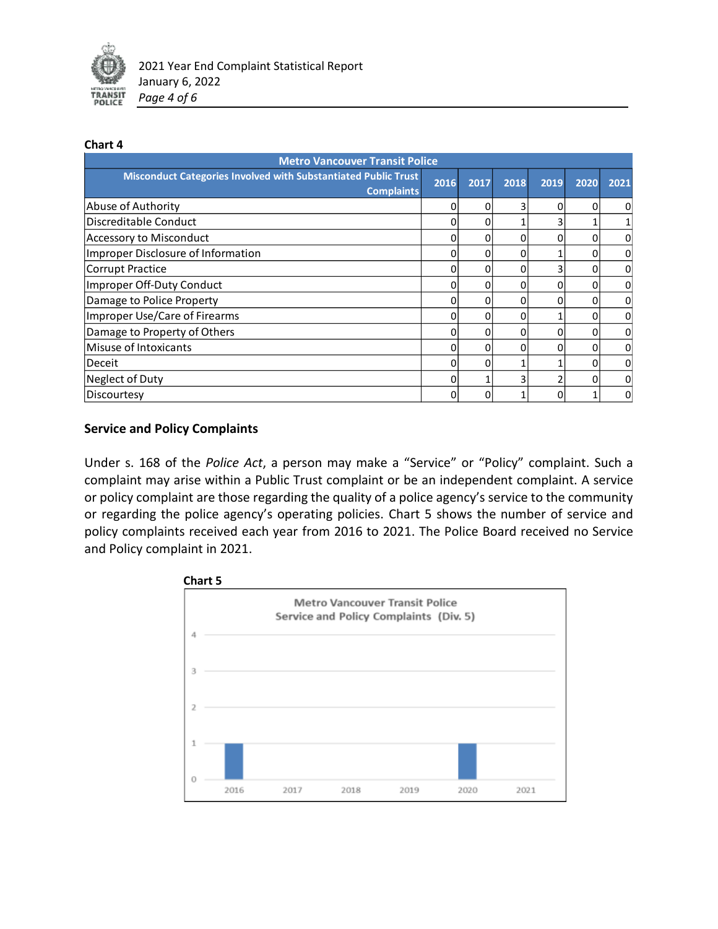

#### **Chart 4**

| <b>Metro Vancouver Transit Police</b>                                               |      |      |      |      |      |              |  |  |  |
|-------------------------------------------------------------------------------------|------|------|------|------|------|--------------|--|--|--|
| Misconduct Categories Involved with Substantiated Public Trust<br><b>Complaints</b> | 2016 | 2017 | 2018 | 2019 | 2020 | 2021         |  |  |  |
| Abuse of Authority                                                                  | 0    | 0    |      | O    | 0    | <sub>0</sub> |  |  |  |
| Discreditable Conduct                                                               | 0    | 0    |      |      |      |              |  |  |  |
| Accessory to Misconduct                                                             | 0    |      |      |      |      | $\pmb{0}$    |  |  |  |
| Improper Disclosure of Information                                                  | 0    | 0    | 0    |      | o    | <sub>0</sub> |  |  |  |
| Corrupt Practice                                                                    | 0    | o    | O    |      | ŋ    | 0            |  |  |  |
| Improper Off-Duty Conduct                                                           | 0    |      |      |      |      | 0            |  |  |  |
| Damage to Police Property                                                           | 0    | 0    | O    |      | o    | 0            |  |  |  |
| Improper Use/Care of Firearms                                                       | 0    |      | O    |      |      | 0            |  |  |  |
| Damage to Property of Others                                                        | 0    |      |      |      |      | <sub>0</sub> |  |  |  |
| Misuse of Intoxicants                                                               | 0    | 0    | ი    |      |      | 0            |  |  |  |
| Deceit                                                                              | 0    |      |      |      |      | 0            |  |  |  |
| Neglect of Duty                                                                     | 0    |      |      |      |      | 0            |  |  |  |
| Discourtesy                                                                         | 0    |      |      |      |      | 0            |  |  |  |

## **Service and Policy Complaints**

Under s. 168 of the *Police Act*, a person may make a "Service" or "Policy" complaint. Such a complaint may arise within a Public Trust complaint or be an independent complaint. A service or policy complaint are those regarding the quality of a police agency's service to the community or regarding the police agency's operating policies. Chart 5 shows the number of service and policy complaints received each year from 2016 to 2021. The Police Board received no Service and Policy complaint in 2021.

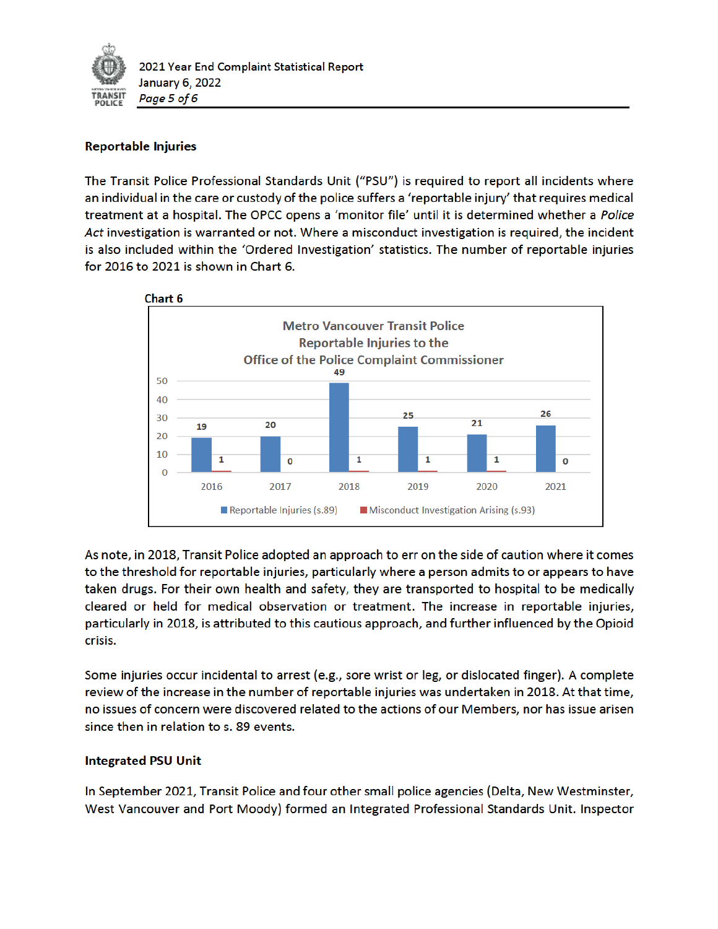

## **Reportable Injuries**

The Transit Police Professional Standards Unit ("PSU") is required to report all incidents where an individual in the care or custody of the police suffers a 'reportable injury' that requires medical treatment at a hospital. The OPCC opens a 'monitor file' until it is determined whether a Police Act investigation is warranted or not. Where a misconduct investigation is required, the incident is also included within the 'Ordered Investigation' statistics. The number of reportable injuries for 2016 to 2021 is shown in Chart 6.



As note, in 2018, Transit Police adopted an approach to err on the side of caution where it comes to the threshold for reportable injuries, particularly where a person admits to or appears to have taken drugs. For their own health and safety, they are transported to hospital to be medically cleared or held for medical observation or treatment. The increase in reportable injuries, particularly in 2018, is attributed to this cautious approach, and further influenced by the Opioid crisis.

Some injuries occur incidental to arrest (e.g., sore wrist or leg, or dislocated finger). A complete review of the increase in the number of reportable injuries was undertaken in 2018. At that time, no issues of concern were discovered related to the actions of our Members, nor has issue arisen since then in relation to s. 89 events.

## **Integrated PSU Unit**

In September 2021, Transit Police and four other small police agencies (Delta, New Westminster, West Vancouver and Port Moody) formed an Integrated Professional Standards Unit. Inspector